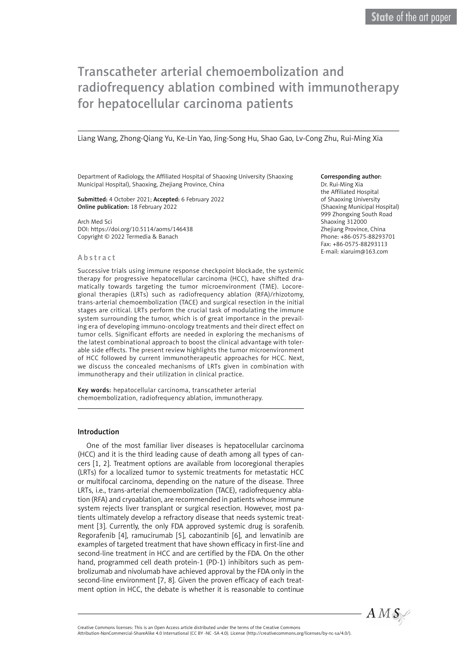# Transcatheter arterial chemoembolization and radiofrequency ablation combined with immunotherapy for hepatocellular carcinoma patients

Liang Wang, Zhong-Qiang Yu, Ke-Lin Yao, Jing-Song Hu, Shao Gao, Lv-Cong Zhu, Rui-Ming Xia

Department of Radiology, the Affiliated Hospital of Shaoxing University (Shaoxing Municipal Hospital), Shaoxing, Zhejiang Province, China

#### Submitted: 4 October 2021; Accepted: 6 February 2022 Online publication: 18 February 2022

Arch Med Sci DOI: https://doi.org/10.5114/aoms/146438 Copyright © 2022 Termedia & Banach

#### **Abstract**

Successive trials using immune response checkpoint blockade, the systemic therapy for progressive hepatocellular carcinoma (HCC), have shifted dramatically towards targeting the tumor microenvironment (TME). Locoregional therapies (LRTs) such as radiofrequency ablation (RFA)/rhizotomy, trans-arterial chemoembolization (TACE) and surgical resection in the initial stages are critical. LRTs perform the crucial task of modulating the immune system surrounding the tumor, which is of great importance in the prevailing era of developing immuno-oncology treatments and their direct effect on tumor cells. Significant efforts are needed in exploring the mechanisms of the latest combinational approach to boost the clinical advantage with tolerable side effects. The present review highlights the tumor microenvironment of HCC followed by current immunotherapeutic approaches for HCC. Next, we discuss the concealed mechanisms of LRTs given in combination with immunotherapy and their utilization in clinical practice.

Key words: hepatocellular carcinoma, transcatheter arterial chemoembolization, radiofrequency ablation, immunotherapy.

### Introduction

One of the most familiar liver diseases is hepatocellular carcinoma (HCC) and it is the third leading cause of death among all types of cancers [1, 2]. Treatment options are available from locoregional therapies (LRTs) for a localized tumor to systemic treatments for metastatic HCC or multifocal carcinoma, depending on the nature of the disease. Three LRTs, i.e., trans-arterial chemoembolization (TACE), radiofrequency ablation (RFA) and cryoablation, are recommended in patients whose immune system rejects liver transplant or surgical resection. However, most patients ultimately develop a refractory disease that needs systemic treatment [3]. Currently, the only FDA approved systemic drug is sorafenib. Regorafenib [4], ramucirumab [5], cabozantinib [6], and lenvatinib are examples of targeted treatment that have shown efficacy in first-line and second-line treatment in HCC and are certified by the FDA. On the other hand, programmed cell death protein-1 (PD-1) inhibitors such as pembrolizumab and nivolumab have achieved approval by the FDA only in the second-line environment [7, 8]. Given the proven efficacy of each treatment option in HCC, the debate is whether it is reasonable to continue

#### Corresponding author:

Dr. Rui-Ming Xia the Affiliated Hospital of Shaoxing University (Shaoxing Municipal Hospital) 999 Zhongxing South Road Shaoxing 312000 Zhejiang Province, China Phone: +86-0575-88293701 Fax: +86-0575-88293113 E-mail: [xiaruim@163.com](mailto:xiaruim@163.com)



Creative Commons licenses: This is an Open Access article distributed under the terms of the Creative Commons

Attribution-NonCommercial-ShareAlike 4.0 International (CC BY -NC -SA 4.0). License (http://creativecommons.org/licenses/by-nc-sa/4.0/).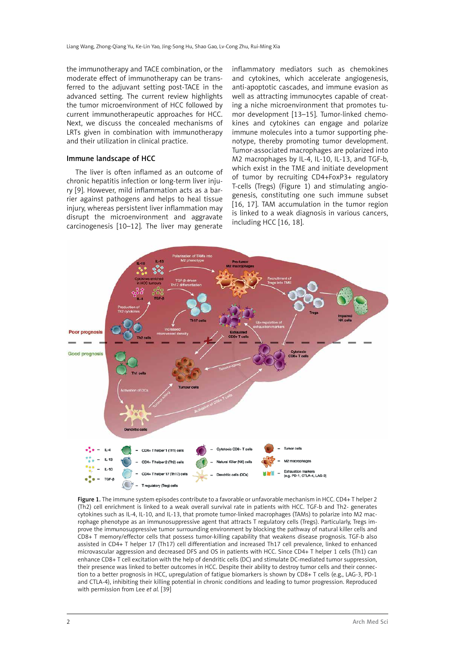the immunotherapy and TACE combination, or the moderate effect of immunotherapy can be transferred to the adjuvant setting post-TACE in the advanced setting. The current review highlights the tumor microenvironment of HCC followed by current immunotherapeutic approaches for HCC. Next, we discuss the concealed mechanisms of LRTs given in combination with immunotherapy and their utilization in clinical practice.

### Immune landscape of HCC

The liver is often inflamed as an outcome of chronic hepatitis infection or long-term liver injury [9]. However, mild inflammation acts as a barrier against pathogens and helps to heal tissue injury, whereas persistent liver inflammation may disrupt the microenvironment and aggravate carcinogenesis [10–12]. The liver may generate inflammatory mediators such as chemokines and cytokines, which accelerate angiogenesis, anti-apoptotic cascades, and immune evasion as well as attracting immunocytes capable of creating a niche microenvironment that promotes tumor development [13–15]. Tumor-linked chemokines and cytokines can engage and polarize immune molecules into a tumor supporting phenotype, thereby promoting tumor development. Tumor-associated macrophages are polarized into M2 macrophages by IL-4, IL-10, IL-13, and TGF-b, which exist in the TME and initiate development of tumor by recruiting CD4+FoxP3+ regulatory T-cells (Tregs) (Figure 1) and stimulating angiogenesis, constituting one such immune subset [16, 17]. TAM accumulation in the tumor region is linked to a weak diagnosis in various cancers, including HCC [16, 18].



Figure 1. The immune system episodes contribute to a favorable or unfavorable mechanism in HCC. CD4+ T helper 2 (Th2) cell enrichment is linked to a weak overall survival rate in patients with HCC. TGF-b and Th2- generates cytokines such as IL-4, IL-10, and IL-13, that promote tumor-linked macrophages (TAMs) to polarize into M2 macrophage phenotype as an immunosuppressive agent that attracts T regulatory cells (Tregs). Particularly, Tregs improve the immunosuppressive tumor surrounding environment by blocking the pathway of natural killer cells and CD8+ T memory/effector cells that possess tumor-killing capability that weakens disease prognosis. TGF-b also assisted in CD4+ T helper 17 (Th17) cell differentiation and increased Th17 cell prevalence, linked to enhanced microvascular aggression and decreased DFS and OS in patients with HCC. Since CD4+ T helper 1 cells (Th1) can enhance CD8+ T cell excitation with the help of dendritic cells (DC) and stimulate DC-mediated tumor suppression, their presence was linked to better outcomes in HCC. Despite their ability to destroy tumor cells and their connection to a better prognosis in HCC, upregulation of fatigue biomarkers is shown by CD8+ T cells (e.g., LAG-3, PD-1 and CTLA-4), inhibiting their killing potential in chronic conditions and leading to tumor progression. Reproduced with permission from Lee *et al.* [39]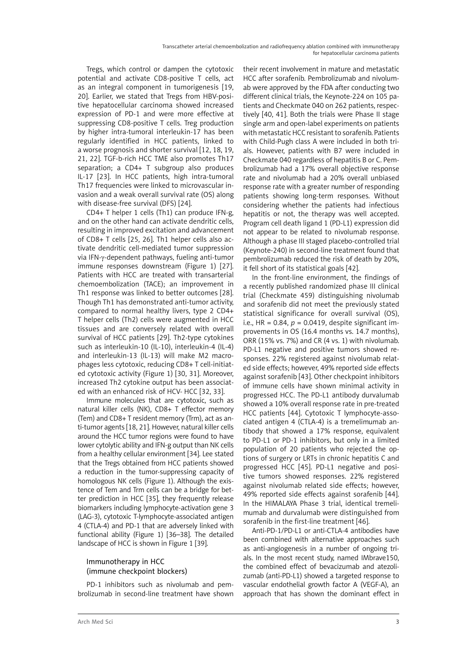Tregs, which control or dampen the cytotoxic potential and activate CD8-positive T cells, act as an integral component in tumorigenesis [19, 20]. Earlier, we stated that Tregs from HBV-positive hepatocellular carcinoma showed increased expression of PD-1 and were more effective at suppressing CD8-positive T cells. Treg production by higher intra-tumoral interleukin-17 has been regularly identified in HCC patients, linked to a worse prognosis and shorter survival [12, 18, 19, 21, 22]. TGF-b-rich HCC TME also promotes Th17 separation; a CD4+ T subgroup also produces IL-17 [23]. In HCC patients, high intra-tumoral Th17 frequencies were linked to microvascular invasion and a weak overall survival rate (OS) along with disease-free survival (DFS) [24].

CD4+ T helper 1 cells (Th1) can produce IFN-g, and on the other hand can activate dendritic cells, resulting in improved excitation and advancement of CD8+ T cells [25, 26]. Th1 helper cells also activate dendritic cell-mediated tumor suppression via IFN-γ-dependent pathways, fueling anti-tumor immune responses downstream (Figure 1) [27]. Patients with HCC are treated with transarterial chemoembolization (TACE); an improvement in Th1 response was linked to better outcomes [28]. Though Th1 has demonstrated anti-tumor activity, compared to normal healthy livers, type 2 CD4+ T helper cells (Th2) cells were augmented in HCC tissues and are conversely related with overall survival of HCC patients [29]. Th2-type cytokines such as interleukin-10 (IL-10), interleukin-4 (IL-4) and interleukin-13 (IL-13) will make M2 macrophages less cytotoxic, reducing CD8+ T cell-initiated cytotoxic activity (Figure 1) [30, 31]. Moreover, increased Th2 cytokine output has been associated with an enhanced risk of HCV- HCC [32, 33].

Immune molecules that are cytotoxic, such as natural killer cells (NK), CD8+ T effector memory (Tem) and CD8+ T resident memory (Trm), act as anti-tumor agents [18, 21]. However, natural killer cells around the HCC tumor regions were found to have lower cytolytic ability and IFN-g output than NK cells from a healthy cellular environment [34]. Lee stated that the Tregs obtained from HCC patients showed a reduction in the tumor-suppressing capacity of homologous NK cells (Figure 1). Although the existence of Tem and Trm cells can be a bridge for better prediction in HCC [35], they frequently release biomarkers including lymphocyte-activation gene 3 (LAG-3), cytotoxic T-lymphocyte-associated antigen 4 (CTLA-4) and PD-1 that are adversely linked with functional ability (Figure 1) [36–38]. The detailed landscape of HCC is shown in Figure 1 [39].

## Immunotherapy in HCC (immune checkpoint blockers)

PD-1 inhibitors such as nivolumab and pembrolizumab in second-line treatment have shown their recent involvement in mature and metastatic HCC after sorafenib. Pembrolizumab and nivolumab were approved by the FDA after conducting two different clinical trials, the Keynote-224 on 105 patients and Checkmate 040 on 262 patients, respectively [40, 41]. Both the trials were Phase II stage single arm and open-label experiments on patients with metastatic HCC resistant to sorafenib. Patients with Child-Pugh class A were included in both trials. However, patients with B7 were included in Checkmate 040 regardless of hepatitis B or C. Pembrolizumab had a 17% overall objective response rate and nivolumab had a 20% overall unbiased response rate with a greater number of responding patients showing long-term responses. Without considering whether the patients had infectious hepatitis or not, the therapy was well accepted. Program cell death ligand 1 (PD-L1) expression did not appear to be related to nivolumab response. Although a phase III staged placebo-controlled trial (Keynote-240) in second-line treatment found that pembrolizumab reduced the risk of death by 20%, it fell short of its statistical goals [42].

In the front-line environment, the findings of a recently published randomized phase III clinical trial (Checkmate 459) distinguishing nivolumab and sorafenib did not meet the previously stated statistical significance for overall survival (OS), i.e.,  $HR = 0.84$ ,  $p = 0.0419$ , despite significant improvements in OS (16.4 months vs. 14.7 months), ORR (15% vs. 7%) and CR (4 vs. 1) with nivolumab. PD-L1 negative and positive tumors showed responses. 22% registered against nivolumab related side effects; however, 49% reported side effects against sorafenib [43]. Other checkpoint inhibitors of immune cells have shown minimal activity in progressed HCC. The PD-L1 antibody durvalumab showed a 10% overall response rate in pre-treated HCC patients [44]. Cytotoxic T lymphocyte-associated antigen 4 (CTLA-4) is a tremelimumab antibody that showed a 17% response, equivalent to PD-L1 or PD-1 inhibitors, but only in a limited population of 20 patients who rejected the options of surgery or LRTs in chronic hepatitis C and progressed HCC [45]. PD-L1 negative and positive tumors showed responses. 22% registered against nivolumab related side effects; however, 49% reported side effects against sorafenib [44]. In the HIMALAYA Phase 3 trial, identical tremelimumab and durvalumab were distinguished from sorafenib in the first-line treatment [46].

Anti-PD-1/PD-L1 or anti-CTLA-4 antibodies have been combined with alternative approaches such as anti-angiogenesis in a number of ongoing trials. In the most recent study, named IMbrave150, the combined effect of bevacizumab and atezolizumab (anti-PD-L1) showed a targeted response to vascular endothelial growth factor A (VEGF-A), an approach that has shown the dominant effect in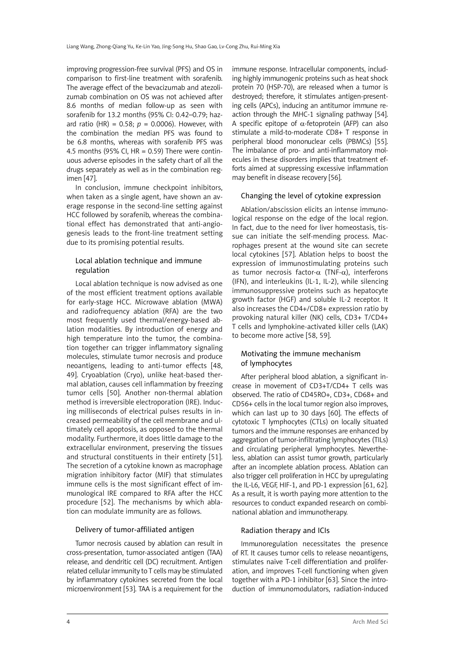improving progression-free survival (PFS) and OS in comparison to first-line treatment with sorafenib. The average effect of the bevacizumab and atezolizumab combination on OS was not achieved after 8.6 months of median follow-up as seen with sorafenib for 13.2 months (95% CI: 0.42–0.79; hazard ratio (HR) =  $0.58$ ;  $p = 0.0006$ ). However, with the combination the median PFS was found to be 6.8 months, whereas with sorafenib PFS was 4.5 months (95% CI,  $HR = 0.59$ ) There were continuous adverse episodes in the safety chart of all the drugs separately as well as in the combination regimen [47].

In conclusion, immune checkpoint inhibitors, when taken as a single agent, have shown an average response in the second-line setting against HCC followed by sorafenib, whereas the combinational effect has demonstrated that anti-angiogenesis leads to the front-line treatment setting due to its promising potential results.

## Local ablation technique and immune regulation

Local ablation technique is now advised as one of the most efficient treatment options available for early-stage HCC. Microwave ablation (MWA) and radiofrequency ablation (RFA) are the two most frequently used thermal/energy-based ablation modalities. By introduction of energy and high temperature into the tumor, the combination together can trigger inflammatory signaling molecules, stimulate tumor necrosis and produce neoantigens, leading to anti-tumor effects [48, 49]. Cryoablation (Cryo), unlike heat-based thermal ablation, causes cell inflammation by freezing tumor cells [50]. Another non-thermal ablation method is irreversible electroporation (IRE). Inducing milliseconds of electrical pulses results in increased permeability of the cell membrane and ultimately cell apoptosis, as opposed to the thermal modality. Furthermore, it does little damage to the extracellular environment, preserving the tissues and structural constituents in their entirety [51]. The secretion of a cytokine known as macrophage migration inhibitory factor (MIF) that stimulates immune cells is the most significant effect of immunological IRE compared to RFA after the HCC procedure [52]. The mechanisms by which ablation can modulate immunity are as follows.

#### Delivery of tumor-affiliated antigen

Tumor necrosis caused by ablation can result in cross-presentation, tumor-associated antigen (TAA) release, and dendritic cell (DC) recruitment. Antigen related cellular immunity to T cells may be stimulated by inflammatory cytokines secreted from the local microenvironment [53]. TAA is a requirement for the immune response. Intracellular components, including highly immunogenic proteins such as heat shock protein 70 (HSP-70), are released when a tumor is destroyed; therefore, it stimulates antigen-presenting cells (APCs), inducing an antitumor immune reaction through the MHC-1 signaling pathway [54]. A specific epitope of  $\alpha$ -fetoprotein (AFP) can also stimulate a mild-to-moderate CD8+ T response in peripheral blood mononuclear cells (PBMCs) [55]. The imbalance of pro- and anti-inflammatory molecules in these disorders implies that treatment efforts aimed at suppressing excessive inflammation may benefit in disease recovery [56].

### Changing the level of cytokine expression

Ablation/abscission elicits an intense immunological response on the edge of the local region. In fact, due to the need for liver homeostasis, tissue can initiate the self-mending process. Macrophages present at the wound site can secrete local cytokines [57]. Ablation helps to boost the expression of immunostimulating proteins such as tumor necrosis factor- $\alpha$  (TNF- $\alpha$ ), interferons (IFN), and interleukins (IL-1, IL-2), while silencing immunosuppressive proteins such as hepatocyte growth factor (HGF) and soluble IL-2 receptor. It also increases the CD4+/CD8+ expression ratio by provoking natural killer (NK) cells, CD3+ T/CD4+ T cells and lymphokine-activated killer cells (LAK) to become more active [58, 59].

## Motivating the immune mechanism of lymphocytes

After peripheral blood ablation, a significant increase in movement of CD3+T/CD4+ T cells was observed. The ratio of CD45RO+, CD3+, CD68+ and CD56+ cells in the local tumor region also improves, which can last up to 30 days [60]. The effects of cytotoxic T lymphocytes (CTLs) on locally situated tumors and the immune responses are enhanced by aggregation of tumor-infiltrating lymphocytes (TILs) and circulating peripheral lymphocytes. Nevertheless, ablation can assist tumor growth, particularly after an incomplete ablation process. Ablation can also trigger cell proliferation in HCC by upregulating the IL-L6, VEGF, HIF-1, and PD-1 expression [61, 62]. As a result, it is worth paying more attention to the resources to conduct expanded research on combinational ablation and immunotherapy.

#### Radiation therapy and ICIs

Immunoregulation necessitates the presence of RT. It causes tumor cells to release neoantigens, stimulates naive T-cell differentiation and proliferation, and improves T-cell functioning when given together with a PD-1 inhibitor [63]. Since the introduction of immunomodulators, radiation-induced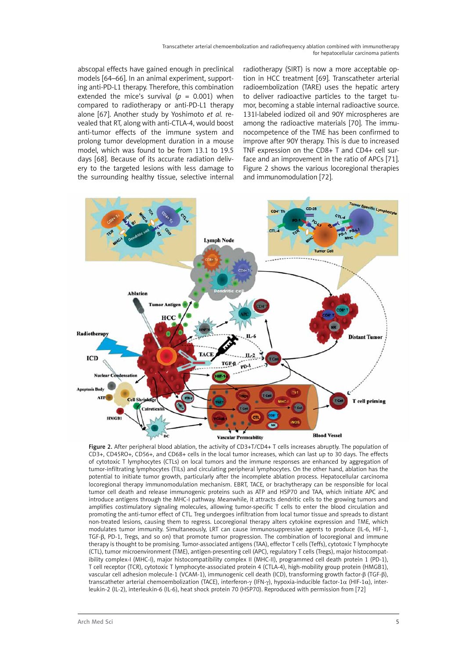Transcatheter arterial chemoembolization and radiofrequency ablation combined with immunotherapy for hepatocellular carcinoma patients

abscopal effects have gained enough in preclinical models [64–66]. In an animal experiment, supporting anti-PD-L1 therapy. Therefore, this combination extended the mice's survival ( $p = 0.001$ ) when compared to radiotherapy or anti-PD-L1 therapy alone [67]. Another study by Yoshimoto *et al.* revealed that RT, along with anti-CTLA-4, would boost anti-tumor effects of the immune system and prolong tumor development duration in a mouse model, which was found to be from 13.1 to 19.5 days [68]. Because of its accurate radiation delivery to the targeted lesions with less damage to the surrounding healthy tissue, selective internal radiotherapy (SIRT) is now a more acceptable option in HCC treatment [69]. Transcatheter arterial radioembolization (TARE) uses the hepatic artery to deliver radioactive particles to the target tumor, becoming a stable internal radioactive source. 131I-labeled iodized oil and 90Y microspheres are among the radioactive materials [70]. The immunocompetence of the TME has been confirmed to improve after 90Y therapy. This is due to increased TNF expression on the CD8+ T and CD4+ cell surface and an improvement in the ratio of APCs [71]. Figure 2 shows the various locoregional therapies and immunomodulation [72].



Figure 2. After peripheral blood ablation, the activity of CD3+T/CD4+ T cells increases abruptly. The population of CD3+, CD45RO+, CD56+, and CD68+ cells in the local tumor increases, which can last up to 30 days. The effects of cytotoxic T lymphocytes (CTLs) on local tumors and the immune responses are enhanced by aggregation of tumor-infiltrating lymphocytes (TILs) and circulating peripheral lymphocytes. On the other hand, ablation has the potential to initiate tumor growth, particularly after the incomplete ablation process. Hepatocellular carcinoma locoregional therapy immunomodulation mechanism. EBRT, TACE, or brachytherapy can be responsible for local tumor cell death and release immunogenic proteins such as ATP and HSP70 and TAA, which initiate APC and introduce antigens through the MHC-I pathway. Meanwhile, it attracts dendritic cells to the growing tumors and amplifies costimulatory signaling molecules, allowing tumor-specific T cells to enter the blood circulation and promoting the anti-tumor effect of CTL. Treg undergoes infiltration from local tumor tissue and spreads to distant non-treated lesions, causing them to regress. Locoregional therapy alters cytokine expression and TME, which modulates tumor immunity. Simultaneously, LRT can cause immunosuppressive agents to produce (IL-6, HIF-1, TGF-β, PD-1, Tregs, and so on) that promote tumor progression. The combination of locoregional and immune therapy is thought to be promising. Tumor-associated antigens (TAA), effector T cells (Teffs), cytotoxic T lymphocyte (CTL), tumor microenvironment (TME), antigen-presenting cell (APC), regulatory T cells (Tregs), major histocompatibility complex-I (MHC-I), major histocompatibility complex II (MHC-II), programmed cell death protein 1 (PD-1), T cell receptor (TCR), cytotoxic T lymphocyte-associated protein 4 (CTLA-4), high-mobility group protein (HMGB1), vascular cell adhesion molecule-1 (VCAM-1), immunogenic cell death (ICD), transforming growth factor-β (TGF-β), transcatheter arterial chemoembolization (TACE), interferon-γ (IFN-γ), hypoxia-inducible factor-1α (HIF-1α), interleukin-2 (IL-2), interleukin-6 (IL-6), heat shock protein 70 (HSP70). Reproduced with permission from [72]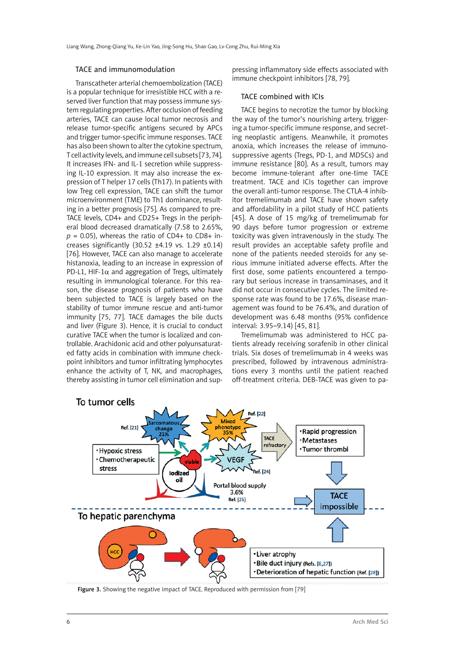#### TACE and immunomodulation

Transcatheter arterial chemoembolization (TACE) is a popular technique for irresistible HCC with a reserved liver function that may possess immune system regulating properties. After occlusion of feeding arteries, TACE can cause local tumor necrosis and release tumor-specific antigens secured by APCs and trigger tumor-specific immune responses. TACE has also been shown to alter the cytokine spectrum, T cell activity levels, and immune cell subsets [73, 74]. It increases IFN- and IL-1 secretion while suppressing IL-10 expression. It may also increase the expression of T helper 17 cells (Th17). In patients with low Treg cell expression, TACE can shift the tumor microenvironment (TME) to Th1 dominance, resulting in a better prognosis [75]. As compared to pre-TACE levels, CD4+ and CD25+ Tregs in the peripheral blood decreased dramatically (7.58 to 2.65%,  $p = 0.05$ ), whereas the ratio of CD4+ to CD8+ increases significantly  $(30.52 \pm 4.19 \text{ vs. } 1.29 \pm 0.14)$ [76]. However, TACE can also manage to accelerate histanoxia, leading to an increase in expression of PD-L1, HIF-1 $\alpha$  and aggregation of Tregs, ultimately resulting in immunological tolerance. For this reason, the disease prognosis of patients who have been subjected to TACE is largely based on the stability of tumor immune rescue and anti-tumor immunity [75, 77]. TACE damages the bile ducts and liver (Figure 3). Hence, it is crucial to conduct curative TACE when the tumor is localized and controllable. Arachidonic acid and other polyunsaturated fatty acids in combination with immune checkpoint inhibitors and tumor infiltrating lymphocytes enhance the activity of T, NK, and macrophages, thereby assisting in tumor cell elimination and sup-

pressing inflammatory side effects associated with immune checkpoint inhibitors [78, 79].

#### TACE combined with ICIs

TACE begins to necrotize the tumor by blocking the way of the tumor's nourishing artery, triggering a tumor-specific immune response, and secreting neoplastic antigens. Meanwhile, it promotes anoxia, which increases the release of immunosuppressive agents (Tregs, PD-1, and MDSCs) and immune resistance [80]. As a result, tumors may become immune-tolerant after one-time TACE treatment. TACE and ICIs together can improve the overall anti-tumor response. The CTLA-4 inhibitor tremelimumab and TACE have shown safety and affordability in a pilot study of HCC patients [45]. A dose of 15 mg/kg of tremelimumab for 90 days before tumor progression or extreme toxicity was given intravenously in the study. The result provides an acceptable safety profile and none of the patients needed steroids for any serious immune initiated adverse effects. After the first dose, some patients encountered a temporary but serious increase in transaminases, and it did not occur in consecutive cycles. The limited response rate was found to be 17.6%, disease management was found to be 76.4%, and duration of development was 6.48 months (95% confidence interval: 3.95–9.14) [45, 81].

Tremelimumab was administered to HCC patients already receiving sorafenib in other clinical trials. Six doses of tremelimumab in 4 weeks was prescribed, followed by intravenous administrations every 3 months until the patient reached off-treatment criteria. DEB-TACE was given to pa-



Figure 3. Showing the negative impact of TACE. Reproduced with permission from [79]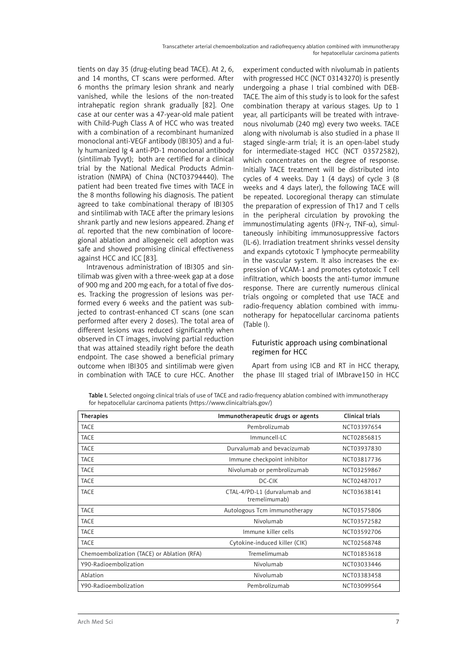tients on day 35 (drug-eluting bead TACE). At 2, 6, and 14 months, CT scans were performed. After 6 months the primary lesion shrank and nearly vanished, while the lesions of the non-treated intrahepatic region shrank gradually [82]. One case at our center was a 47-year-old male patient with Child-Pugh Class A of HCC who was treated with a combination of a recombinant humanized monoclonal anti-VEGF antibody (IBI305) and a fully humanized Ig 4 anti-PD-1 monoclonal antibody (sintilimab Tyvyt); both are certified for a clinical trial by the National Medical Products Administration (NMPA) of China (NCT03794440). The patient had been treated five times with TACE in the 8 months following his diagnosis. The patient agreed to take combinational therapy of IBI305 and sintilimab with TACE after the primary lesions shrank partly and new lesions appeared. Zhang *et al.* reported that the new combination of locoregional ablation and allogeneic cell adoption was safe and showed promising clinical effectiveness against HCC and ICC [83].

Intravenous administration of IBI305 and sintilimab was given with a three-week gap at a dose of 900 mg and 200 mg each, for a total of five doses. Tracking the progression of lesions was performed every 6 weeks and the patient was subjected to contrast-enhanced CT scans (one scan performed after every 2 doses). The total area of different lesions was reduced significantly when observed in CT images, involving partial reduction that was attained steadily right before the death endpoint. The case showed a beneficial primary outcome when IBI305 and sintilimab were given in combination with TACE to cure HCC. Another experiment conducted with nivolumab in patients with progressed HCC (NCT 03143270) is presently undergoing a phase I trial combined with DEB-TACE. The aim of this study is to look for the safest combination therapy at various stages. Up to 1 year, all participants will be treated with intravenous nivolumab (240 mg) every two weeks. TACE along with nivolumab is also studied in a phase II staged single-arm trial; it is an open-label study for intermediate-staged HCC (NCT 03572582), which concentrates on the degree of response. Initially TACE treatment will be distributed into cycles of 4 weeks. Day 1 (4 days) of cycle 3 (8 weeks and 4 days later), the following TACE will be repeated. Locoregional therapy can stimulate the preparation of expression of Th17 and T cells in the peripheral circulation by provoking the immunostimulating agents (IFN- $\gamma$ , TNF- $\alpha$ ), simultaneously inhibiting immunosuppressive factors (IL-6). Irradiation treatment shrinks vessel density and expands cytotoxic T lymphocyte permeability in the vascular system. It also increases the expression of VCAM-1 and promotes cytotoxic T cell infiltration, which boosts the anti-tumor immune response. There are currently numerous clinical trials ongoing or completed that use TACE and radio-frequency ablation combined with immunotherapy for hepatocellular carcinoma patients (Table I).

## Futuristic approach using combinational regimen for HCC

Apart from using ICB and RT in HCC therapy, the phase III staged trial of IMbrave150 in HCC

Table I. Selected ongoing clinical trials of use of TACE and radio-frequency ablation combined with immunotherapy for hepatocellular carcinoma patients (<https://www.clinicaltrials.gov/>)

| <b>Therapies</b>                           | Immunotherapeutic drugs or agents             | Clinical trials |
|--------------------------------------------|-----------------------------------------------|-----------------|
| <b>TACE</b>                                | Pembrolizumab                                 | NCT03397654     |
| <b>TACE</b>                                | Immuncell-LC                                  | NCT02856815     |
| <b>TACE</b>                                | Durvalumab and bevacizumab                    | NCT03937830     |
| <b>TACE</b>                                | Immune checkpoint inhibitor                   | NCT03817736     |
| <b>TACE</b>                                | Nivolumab or pembrolizumab                    | NCT03259867     |
| <b>TACE</b>                                | DC-CIK                                        | NCT02487017     |
| <b>TACE</b>                                | CTAL-4/PD-L1 (durvalumab and<br>tremelimumab) | NCT03638141     |
| <b>TACE</b>                                | Autologous Tcm immunotherapy                  | NCT03575806     |
| <b>TACE</b>                                | Nivolumab                                     | NCT03572582     |
| <b>TACE</b>                                | Immune killer cells                           | NCT03592706     |
| <b>TACE</b>                                | Cytokine-induced killer (CIK)                 | NCT02568748     |
| Chemoembolization (TACE) or Ablation (RFA) | Tremelimumab                                  | NCT01853618     |
| Y90-Radioembolization                      | Nivolumab                                     | NCT03033446     |
| Ablation                                   | Nivolumab                                     | NCT03383458     |
| Y90-Radioembolization                      | Pembrolizumab                                 | NCT03099564     |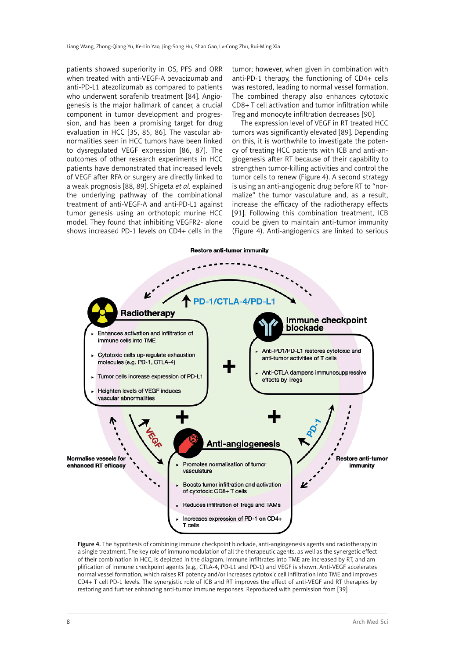patients showed superiority in OS, PFS and ORR when treated with anti-VEGF-A bevacizumab and anti-PD-L1 atezolizumab as compared to patients who underwent sorafenib treatment [84]. Angiogenesis is the major hallmark of cancer, a crucial component in tumor development and progression, and has been a promising target for drug evaluation in HCC [35, 85, 86]. The vascular abnormalities seen in HCC tumors have been linked to dysregulated VEGF expression [86, 87]. The outcomes of other research experiments in HCC patients have demonstrated that increased levels of VEGF after RFA or surgery are directly linked to a weak prognosis [88, 89]. Shigeta *et al.* explained the underlying pathway of the combinational treatment of anti-VEGF-A and anti-PD-L1 against tumor genesis using an orthotopic murine HCC model. They found that inhibiting VEGFR2- alone shows increased PD-1 levels on CD4+ cells in the tumor; however, when given in combination with anti-PD-1 therapy, the functioning of CD4+ cells was restored, leading to normal vessel formation. The combined therapy also enhances cytotoxic CD8+ T cell activation and tumor infiltration while Treg and monocyte infiltration decreases [90].

The expression level of VEGF in RT treated HCC tumors was significantly elevated [89]. Depending on this, it is worthwhile to investigate the potency of treating HCC patients with ICB and anti-angiogenesis after RT because of their capability to strengthen tumor-killing activities and control the tumor cells to renew (Figure 4). A second strategy is using an anti-angiogenic drug before RT to "normalize" the tumor vasculature and, as a result, increase the efficacy of the radiotherapy effects [91]. Following this combination treatment, ICB could be given to maintain anti-tumor immunity (Figure 4). Anti-angiogenics are linked to serious



Figure 4. The hypothesis of combining immune checkpoint blockade, anti-angiogenesis agents and radiotherapy in a single treatment. The key role of immunomodulation of all the therapeutic agents, as well as the synergetic effect of their combination in HCC, is depicted in the diagram. Immune infiltrates into TME are increased by RT, and amplification of immune checkpoint agents (e.g., CTLA-4, PD-L1 and PD-1) and VEGF is shown. Anti-VEGF accelerates normal vessel formation, which raises RT potency and/or increases cytotoxic cell infiltration into TME and improves CD4+ T cell PD-1 levels. The synergistic role of ICB and RT improves the effect of anti-VEGF and RT therapies by restoring and further enhancing anti-tumor immune responses. Reproduced with permission from [39]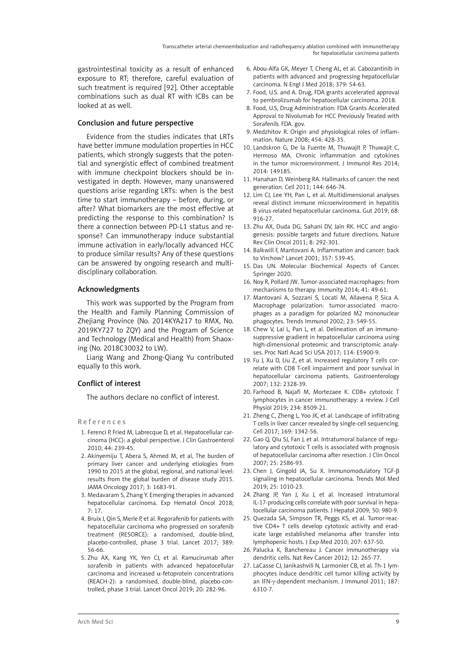gastrointestinal toxicity as a result of enhanced exposure to RT; therefore, careful evaluation of such treatment is required [92]. Other acceptable combinations such as dual RT with ICBs can be looked at as well.

## Conclusion and future perspective

Evidence from the studies indicates that LRTs have better immune modulation properties in HCC patients, which strongly suggests that the potential and synergistic effect of combined treatment with immune checkpoint blockers should be investigated in depth. However, many unanswered questions arise regarding LRTs: when is the best time to start immunotherapy – before, during, or after? What biomarkers are the most effective at predicting the response to this combination? Is there a connection between PD-L1 status and response? Can immunotherapy induce substantial immune activation in early/locally advanced HCC to produce similar results? Any of these questions can be answered by ongoing research and multidisciplinary collaboration.

## Acknowledgments

This work was supported by the Program from the Health and Family Planning Commission of Zhejiang Province (No. 2014KYA217 to RMX, No. 2019KY727 to ZQY) and the Program of Science and Technology (Medical and Health) from Shaoxing (No. 2018C30032 to LW).

Liang Wang and Zhong-Qiang Yu contributed equally to this work.

## Conflict of interest

The authors declare no conflict of interest.

R e f e r e n c e s

- 1. Ferenci P, Fried M, Labrecque D, et al. Hepatocellular carcinoma (HCC): a global perspective. J Clin Gastroenterol 2010; 44: 239-45.
- 2. Akinyemiju T, Abera S, Ahmed M, et al, The burden of primary liver cancer and underlying etiologies from 1990 to 2015 at the global, regional, and national level: results from the global burden of disease study 2015. JAMA Oncology 2017; 3: 1683-91.
- 3. Medavaram S, Zhang Y. Emerging therapies in advanced hepatocellular carcinoma. Exp Hematol Oncol 2018; 7: 17.
- 4. Bruix J, Qin S, Merle P, et al. Regorafenib for patients with hepatocellular carcinoma who progressed on sorafenib treatment (RESORCE): a randomised, double-blind, placebo-controlled, phase 3 trial. Lancet 2017; 389: 56-66.
- 5. Zhu AX, Kang YK, Yen CJ, et al. Ramucirumab after sorafenib in patients with advanced hepatocellular carcinoma and increased α-fetoprotein concentrations (REACH-2): a randomised, double-blind, placebo-controlled, phase 3 trial. Lancet Oncol 2019; 20: 282-96.
- 6. Abou-Alfa GK, Meyer T, Cheng AL, et al. Cabozantinib in patients with advanced and progressing hepatocellular carcinoma. N Engl J Med 2018; 379: 54-63.
- 7. Food, U.S. and A. Drug, FDA grants accelerated approval to pembrolizumab for hepatocellular carcinoma. 2018.
- 8. Food, U.S, Drug Administration: FDA Grants Accelerated Approval to Nivolumab for HCC Previously Treated with Sorafenib. FDA. gov.
- 9. Medzhitov R. Origin and physiological roles of inflammation. Nature 2008; 454: 428-35.
- 10. Landskron G, De la Fuente M, Thuwajit P, Thuwajit C, Hermoso MA. Chronic inflammation and cytokines in the tumor microenvironment. J Immunol Res 2014; 2014: 149185.
- 11. Hanahan D, Weinberg RA. Hallmarks of cancer: the next generation. Cell 2011; 144: 646-74.
- 12. Lim CJ, Lee YH, Pan L, et al. Multidimensional analyses reveal distinct immune microenvironment in hepatitis B virus-related hepatocellular carcinoma. Gut 2019; 68: 916-27.
- 13. Zhu AX, Duda DG, Sahani DV, Jain RK. HCC and angiogenesis: possible targets and future directions. Nature Rev Clin Oncol 2011; 8: 292-301.
- 14. Balkwill F, Mantovani A. Inflammation and cancer: back to Virchow? Lancet 2001; 357: 539-45.
- 15. Das UN. Molecular Biochemical Aspects of Cancer. Springer 2020.
- 16. Noy R, Pollard JW. Tumor-associated macrophages: from mechanisms to therapy. Immunity 2014; 41: 49-61.
- 17. Mantovani A, Sozzani S, Locati M, Allavena P, Sica A. Macrophage polarization: tumor-associated macrophages as a paradigm for polarized M2 mononuclear phagocytes. Trends Immunol 2002; 23: 549-55.
- 18. Chew V, Lai L, Pan L, et al. Delineation of an immunosuppressive gradient in hepatocellular carcinoma using high-dimensional proteomic and transcriptomic analyses. Proc Natl Acad Sci USA 2017; 114: E5900-9.
- 19. Fu J, Xu D, Liu Z, et al. Increased regulatory T cells correlate with CD8 T-cell impairment and poor survival in hepatocellular carcinoma patients. Gastroenterology 2007; 132: 2328-39.
- 20. Farhood B, Najafi M, Mortezaee K. CD8+ cytotoxic T lymphocytes in cancer immunotherapy: a review. J Cell Physiol 2019; 234: 8509-21.
- 21. Zheng C, Zheng L, Yoo JK, et al. Landscape of infiltrating T cells in liver cancer revealed by single-cell sequencing. Cell 2017; 169: 1342-56.
- 22. Gao Q, Qiu SJ, Fan J, et al. Intratumoral balance of regulatory and cytotoxic T cells is associated with prognosis of hepatocellular carcinoma after resection. J Clin Oncol 2007; 25: 2586-93.
- 23. Chen J, Gingold JA, Su X. Immunomodulatory TGF-β signaling in hepatocellular carcinoma. Trends Mol Med 2019; 25: 1010-23.
- 24. Zhang JP, Yan J, Xu J, et al. Increased intratumoral IL-17-producing cells correlate with poor survival in hepatocellular carcinoma patients. J Hepatol 2009; 50: 980-9.
- 25. Quezada SA, Simpson TR, Peggs KS, et al. Tumor-reactive CD4+ T cells develop cytotoxic activity and eradicate large established melanoma after transfer into lymphopenic hosts. J Exp Med 2010; 207: 637-50.
- 26. Palucka K, Banchereau J. Cancer immunotherapy via dendritic cells. Nat Rev Cancer 2012; 12: 265-77.
- 27. LaCasse CJ, Janikashvili N, Larmonier CB, et al. Th-1 lymphocytes induce dendritic cell tumor killing activity by an IFN-γ-dependent mechanism. J Immunol 2011; 187: 6310-7.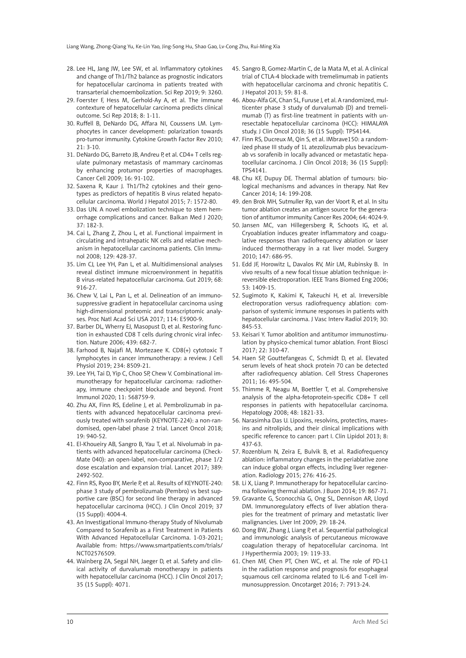- 28. Lee HL, Jang JW, Lee SW, et al. Inflammatory cytokines and change of Th1/Th2 balance as prognostic indicators for hepatocellular carcinoma in patients treated with transarterial chemoembolization. Sci Rep 2019; 9: 3260.
- 29. Foerster F, Hess M, Gerhold-Ay A, et al. The immune contexture of hepatocellular carcinoma predicts clinical outcome. Sci Rep 2018; 8: 1-11.
- 30. Ruffell B, DeNardo DG, Affara NI, Coussens LM. Lymphocytes in cancer development: polarization towards pro-tumor immunity. Cytokine Growth Factor Rev 2010;  $21: 3-10.$
- 31. DeNardo DG, Barreto JB, Andreu P, et al. CD4+ T cells regulate pulmonary metastasis of mammary carcinomas by enhancing protumor properties of macrophages. Cancer Cell 2009; 16: 91-102.
- 32. Saxena R, Kaur J. Th1/Th2 cytokines and their genotypes as predictors of hepatitis B virus related hepatocellular carcinoma. World J Hepatol 2015; 7: 1572-80.
- 33. Das UN. A novel embolization technique to stem hemorrhage complications and cancer. Balkan Med J 2020; 37: 182-3.
- 34. Cai L, Zhang Z, Zhou L, et al. Functional impairment in circulating and intrahepatic NK cells and relative mechanism in hepatocellular carcinoma patients. Clin Immunol 2008; 129: 428-37.
- 35. Lim CJ, Lee YH, Pan L, et al. Multidimensional analyses reveal distinct immune microenvironment in hepatitis B virus-related hepatocellular carcinoma. Gut 2019; 68: 916-27.
- 36. Chew V, Lai L, Pan L, et al. Delineation of an immunosuppressive gradient in hepatocellular carcinoma using high-dimensional proteomic and transcriptomic analyses. Proc Natl Acad Sci USA 2017; 114: E5900-9.
- 37. Barber DL, Wherry EJ, Masopust D, et al. Restoring function in exhausted CD8 T cells during chronic viral infection. Nature 2006; 439: 682-7.
- 38. Farhood B, Najafi M, Mortezaee K. CD8(+) cytotoxic T lymphocytes in cancer immunotherapy: a review. J Cell Physiol 2019; 234: 8509-21.
- 39. Lee YH, Tai D, Yip C, Choo SP, Chew V. Combinational immunotherapy for hepatocellular carcinoma: radiotherapy, immune checkpoint blockade and beyond. Front Immunol 2020; 11: 568759-9.
- 40. Zhu AX, Finn RS, Edeline J, et al. Pembrolizumab in patients with advanced hepatocellular carcinoma previously treated with sorafenib (KEYNOTE-224): a non-randomised, open-label phase 2 trial. Lancet Oncol 2018; 19: 940-52.
- 41. El-Khoueiry AB, Sangro B, Yau T, et al. Nivolumab in patients with advanced hepatocellular carcinoma (Check-Mate 040): an open-label, non-comparative, phase 1/2 dose escalation and expansion trial. Lancet 2017; 389: 2492-502.
- 42. Finn RS, Ryoo BY, Merle P, et al. Results of KEYNOTE-240: phase 3 study of pembrolizumab (Pembro) vs best supportive care (BSC) for second line therapy in advanced hepatocellular carcinoma (HCC). J Clin Oncol 2019; 37 (15 Suppl): 4004-4.
- 43. An Investigational Immuno-therapy Study of Nivolumab Compared to Sorafenib as a First Treatment in Patients With Advanced Hepatocellular Carcinoma. 1-03-2021; Available from: https://www.smartpatients.com/trials/ NCT02576509.
- 44. Wainberg ZA, Segal NH, Jaeger D, et al. Safety and clinical activity of durvalumab monotherapy in patients with hepatocellular carcinoma (HCC). J Clin Oncol 2017; 35 (15 Suppl): 4071.
- 45. Sangro B, Gomez-Martin C, de la Mata M, et al. A clinical trial of CTLA-4 blockade with tremelimumab in patients with hepatocellular carcinoma and chronic hepatitis C. J Hepatol 2013; 59: 81-8.
- 46. Abou-Alfa GK, Chan SL, Furuse J, et al. A randomized, multicenter phase 3 study of durvalumab (D) and tremelimumab (T) as first-line treatment in patients with unresectable hepatocellular carcinoma (HCC): HIMALAYA study. J Clin Oncol 2018; 36 (15 Suppl): TPS4144.
- 47. Finn RS, Ducreux M, Qin S, et al. IMbrave150: a randomized phase III study of 1L atezolizumab plus bevacizumab vs sorafenib in locally advanced or metastatic hepatocellular carcinoma. J Clin Oncol 2018; 36 (15 Suppl): TPS4141.
- 48. Chu KF, Dupuy DE. Thermal ablation of tumours: biological mechanisms and advances in therapy. Nat Rev Cancer 2014; 14: 199-208.
- 49. den Brok MH, Sutmuller Rp, van der Voort R, et al. In situ tumor ablation creates an antigen source for the generation of antitumor immunity. Cancer Res 2004; 64: 4024-9.
- 50. Jansen MC, van Hillegersberg R, Schoots IG, et al. Cryoablation induces greater inflammatory and coagulative responses than radiofrequency ablation or laser induced thermotherapy in a rat liver model. Surgery 2010; 147: 686-95.
- 51. Edd JF, Horowitz L, Davalos RV, Mir LM, Rubinsky B. In vivo results of a new focal tissue ablation technique: irreversible electroporation. IEEE Trans Biomed Eng 2006; 53: 1409-15.
- 52. Sugimoto K, Kakimi K, Takeuchi H, et al. Irreversible electroporation versus radiofrequency ablation: comparison of systemic immune responses in patients with hepatocellular carcinoma. J Vasc Interv Radiol 2019; 30: 845-53.
- 53. Keisari Y. Tumor abolition and antitumor immunostimulation by physico-chemical tumor ablation. Front Biosci 2017; 22: 310-47.
- 54. Haen SP, Gouttefangeas C, Schmidt D, et al. Elevated serum levels of heat shock protein 70 can be detected after radiofrequency ablation. Cell Stress Chaperones 2011; 16: 495-504.
- 55. Thimme R, Neagu M, Boettler T, et al. Comprehensive analysis of the alpha-fetoprotein-specific CD8+ T cell responses in patients with hepatocellular carcinoma. Hepatology 2008; 48: 1821-33.
- 56. Narasimha Das U. Lipoxins, resolvins, protectins, maresins and nitrolipids, and their clinical implications with specific reference to cancer: part I. Clin Lipidol 2013; 8: 437-63.
- 57. Rozenblum N, Zeira E, Bulvik B, et al. Radiofrequency ablation: inflammatory changes in the periablative zone can induce global organ effects, including liver regeneration. Radiology 2015; 276: 416-25.
- 58. Li X, Liang P. Immunotherapy for hepatocellular carcinoma following thermal ablation. J Buon 2014; 19: 867-71.
- 59. Gravante G, Sconocchia G, Ong SL, Dennison AR, Lloyd DM. Immunoregulatory effects of liver ablation therapies for the treatment of primary and metastatic liver malignancies. Liver Int 2009; 29: 18-24.
- 60. Dong BW, Zhang J, Liang P, et al. Sequential pathological and immunologic analysis of percutaneous microwave coagulation therapy of hepatocellular carcinoma. Int J Hyperthermia 2003; 19: 119-33.
- 61. Chen MF, Chen PT, Chen WC, et al. The role of PD-L1 in the radiation response and prognosis for esophageal squamous cell carcinoma related to IL-6 and T-cell immunosuppression. Oncotarget 2016; 7: 7913-24.